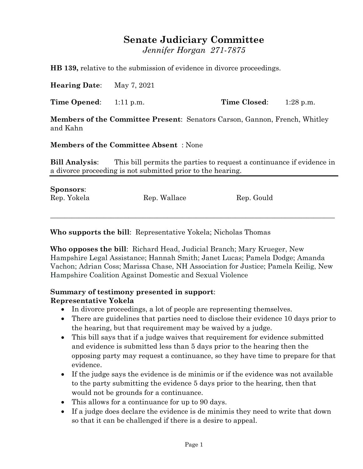## **Senate Judiciary Committee**

*Jennifer Horgan 271-7875*

**HB 139,** relative to the submission of evidence in divorce proceedings.

**Hearing Date**: May 7, 2021

**Time Opened**: 1:11 p.m. **Time Closed**: 1:28 p.m.

**Members of the Committee Present**: Senators Carson, Gannon, French, Whitley and Kahn

**Members of the Committee Absent** : None

**Bill Analysis**: This bill permits the parties to request a continuance if evidence in a divorce proceeding is not submitted prior to the hearing.

| <b>Sponsors:</b> |              |            |
|------------------|--------------|------------|
| Rep. Yokela      | Rep. Wallace | Rep. Gould |
|                  |              |            |

**Who supports the bill**: Representative Yokela; Nicholas Thomas

**Who opposes the bill**: Richard Head, Judicial Branch; Mary Krueger, New Hampshire Legal Assistance; Hannah Smith; Janet Lucas; Pamela Dodge; Amanda Vachon; Adrian Coss; Marissa Chase, NH Association for Justice; Pamela Keilig, New Hampshire Coalition Against Domestic and Sexual Violence

\_\_\_\_\_\_\_\_\_\_\_\_\_\_\_\_\_\_\_\_\_\_\_\_\_\_\_\_\_\_\_\_\_\_\_\_\_\_\_\_\_\_\_\_\_\_\_\_\_\_\_\_\_\_\_\_\_\_\_\_\_\_\_\_\_\_\_\_\_\_\_\_\_\_\_\_\_\_\_\_

## **Summary of testimony presented in support**: **Representative Yokela**

- In divorce proceedings, a lot of people are representing themselves.
- There are guidelines that parties need to disclose their evidence 10 days prior to the hearing, but that requirement may be waived by a judge.
- This bill says that if a judge waives that requirement for evidence submitted and evidence is submitted less than 5 days prior to the hearing then the opposing party may request a continuance, so they have time to prepare for that evidence.
- If the judge says the evidence is de minimis or if the evidence was not available to the party submitting the evidence 5 days prior to the hearing, then that would not be grounds for a continuance.
- This allows for a continuance for up to 90 days.
- If a judge does declare the evidence is de minimis they need to write that down so that it can be challenged if there is a desire to appeal.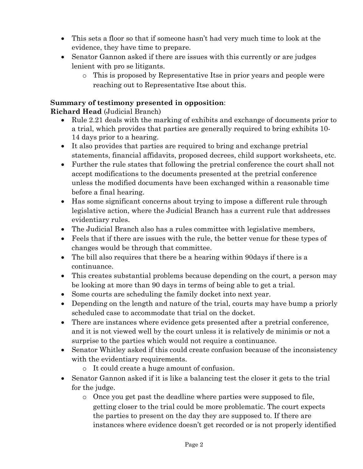- This sets a floor so that if someone hasn't had very much time to look at the evidence, they have time to prepare.
- Senator Gannon asked if there are issues with this currently or are judges lenient with pro se litigants.
	- o This is proposed by Representative Itse in prior years and people were reaching out to Representative Itse about this.

## **Summary of testimony presented in opposition**:

**Richard Head** (Judicial Branch)

- Rule 2.21 deals with the marking of exhibits and exchange of documents prior to a trial, which provides that parties are generally required to bring exhibits 10- 14 days prior to a hearing.
- It also provides that parties are required to bring and exchange pretrial statements, financial affidavits, proposed decrees, child support worksheets, etc.
- Further the rule states that following the pretrial conference the court shall not accept modifications to the documents presented at the pretrial conference unless the modified documents have been exchanged within a reasonable time before a final hearing.
- Has some significant concerns about trying to impose a different rule through legislative action, where the Judicial Branch has a current rule that addresses evidentiary rules.
- The Judicial Branch also has a rules committee with legislative members,
- Feels that if there are issues with the rule, the better venue for these types of changes would be through that committee.
- The bill also requires that there be a hearing within 90days if there is a continuance.
- This creates substantial problems because depending on the court, a person may be looking at more than 90 days in terms of being able to get a trial.
- Some courts are scheduling the family docket into next year.
- Depending on the length and nature of the trial, courts may have bump a priorly scheduled case to accommodate that trial on the docket.
- There are instances where evidence gets presented after a pretrial conference, and it is not viewed well by the court unless it is relatively de minimis or not a surprise to the parties which would not require a continuance.
- Senator Whitley asked if this could create confusion because of the inconsistency with the evidentiary requirements.
	- o It could create a huge amount of confusion.
- Senator Gannon asked if it is like a balancing test the closer it gets to the trial for the judge.
	- o Once you get past the deadline where parties were supposed to file, getting closer to the trial could be more problematic. The court expects the parties to present on the day they are supposed to. If there are instances where evidence doesn't get recorded or is not properly identified